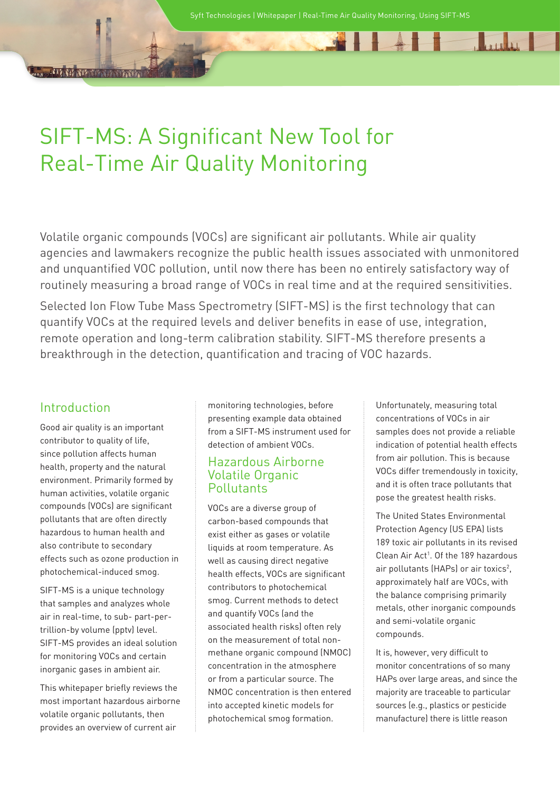41141

Jan Jan

# SIFT-MS: A Significant New Tool for Real-Time Air Quality Monitoring

Volatile organic compounds (VOCs) are significant air pollutants. While air quality agencies and lawmakers recognize the public health issues associated with unmonitored and unquantified VOC pollution, until now there has been no entirely satisfactory way of routinely measuring a broad range of VOCs in real time and at the required sensitivities.

Selected Ion Flow Tube Mass Spectrometry (SIFT-MS) is the first technology that can quantify VOCs at the required levels and deliver benefits in ease of use, integration, remote operation and long-term calibration stability. SIFT-MS therefore presents a breakthrough in the detection, quantification and tracing of VOC hazards.

# Introduction

Good air quality is an important contributor to quality of life, since pollution affects human health, property and the natural environment. Primarily formed by human activities, volatile organic compounds (VOCs) are significant pollutants that are often directly hazardous to human health and also contribute to secondary effects such as ozone production in photochemical-induced smog.

SIFT-MS is a unique technology that samples and analyzes whole air in real-time, to sub- part-pertrillion-by volume (pptv) level. SIFT-MS provides an ideal solution for monitoring VOCs and certain inorganic gases in ambient air.

This whitepaper briefly reviews the most important hazardous airborne volatile organic pollutants, then provides an overview of current air

monitoring technologies, before presenting example data obtained from a SIFT-MS instrument used for detection of ambient VOCs.

## Hazardous Airborne Volatile Organic **Pollutants**

VOCs are a diverse group of carbon-based compounds that exist either as gases or volatile liquids at room temperature. As well as causing direct negative health effects, VOCs are significant contributors to photochemical smog. Current methods to detect and quantify VOCs (and the associated health risks) often rely on the measurement of total nonmethane organic compound (NMOC) concentration in the atmosphere or from a particular source. The NMOC concentration is then entered into accepted kinetic models for photochemical smog formation.

Unfortunately, measuring total concentrations of VOCs in air samples does not provide a reliable indication of potential health effects from air pollution. This is because VOCs differ tremendously in toxicity, and it is often trace pollutants that pose the greatest health risks.

The United States Environmental Protection Agency (US EPA) lists 189 toxic air pollutants in its revised Clean Air Act<sup>1</sup>. Of the 189 hazardous air pollutants (HAPs) or air toxics<sup>2</sup>, approximately half are VOCs, with the balance comprising primarily metals, other inorganic compounds and semi-volatile organic compounds.

It is, however, very difficult to monitor concentrations of so many HAPs over large areas, and since the majority are traceable to particular sources (e.g., plastics or pesticide manufacture) there is little reason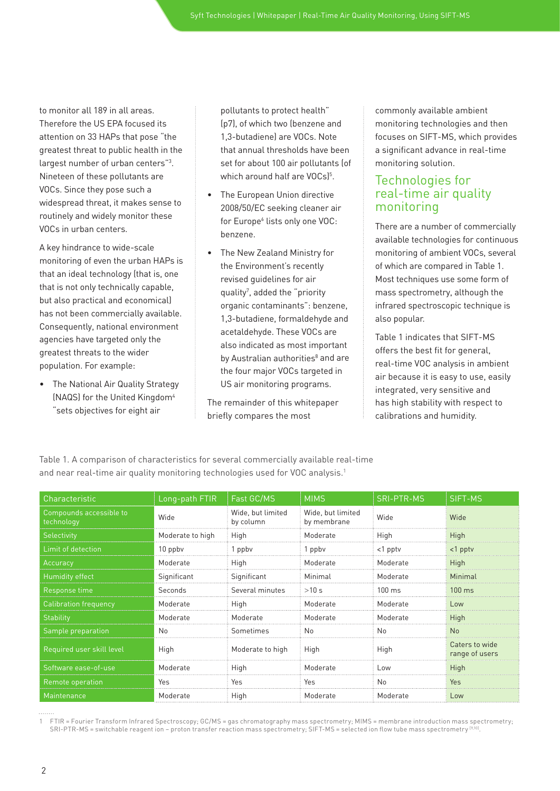to monitor all 189 in all areas. Therefore the US EPA focused its attention on 33 HAPs that pose "the greatest threat to public health in the largest number of urban centers"<sup>3</sup>. Nineteen of these pollutants are VOCs. Since they pose such a widespread threat, it makes sense to routinely and widely monitor these VOCs in urban centers.

A key hindrance to wide-scale monitoring of even the urban HAPs is that an ideal technology (that is, one that is not only technically capable, but also practical and economical) has not been commercially available. Consequently, national environment agencies have targeted only the greatest threats to the wider population. For example:

• The National Air Quality Strategy (NAQS) for the United Kingdom<sup>4</sup> "sets objectives for eight air

pollutants to protect health" (p7), of which two (benzene and 1,3-butadiene) are VOCs. Note that annual thresholds have been set for about 100 air pollutants (of which around half are VOCs)<sup>5</sup>.

- The European Union directive 2008/50/EC seeking cleaner air for Europe<sup>6</sup> lists only one VOC: benzene.
- The New Zealand Ministry for the Environment's recently revised guidelines for air quality<sup>7</sup>, added the "priority organic contaminants": benzene, 1,3-butadiene, formaldehyde and acetaldehyde. These VOCs are also indicated as most important by Australian authorities<sup>8</sup> and are the four major VOCs targeted in US air monitoring programs.

The remainder of this whitepaper briefly compares the most

commonly available ambient monitoring technologies and then focuses on SIFT-MS, which provides a significant advance in real-time monitoring solution.

## Technologies for real-time air quality monitoring

There are a number of commercially available technologies for continuous monitoring of ambient VOCs, several of which are compared in Table 1. Most techniques use some form of mass spectrometry, although the infrared spectroscopic technique is also popular.

Table 1 indicates that SIFT-MS offers the best fit for general, real-time VOC analysis in ambient air because it is easy to use, easily integrated, very sensitive and has high stability with respect to calibrations and humidity.

| Characteristic                        | Long-path FTIR   | Fast GC/MS                     | <b>MIMS</b>                      | <b>SRI-PTR-MS</b> | SIFT-MS                          |
|---------------------------------------|------------------|--------------------------------|----------------------------------|-------------------|----------------------------------|
| Compounds accessible to<br>technology | Wide             | Wide, but limited<br>by column | Wide, but limited<br>by membrane | Wide              | Wide                             |
| <b>Selectivity</b>                    | Moderate to high | High                           | Moderate                         | High              | High                             |
| Limit of detection                    | 10 ppby          | 1 ppbv                         | 1 ppbv                           | $<$ 1 pptv        | $<$ 1 pptv                       |
| Accuracy                              | Moderate         | High                           | Moderate                         | Moderate          | High                             |
| Humidity effect                       | Significant      | Significant                    | Minimal                          | Moderate          | Minimal                          |
| Response t <u>ime</u>                 | Seconds          | Several minutes                | >10 s                            | $100 \text{ ms}$  | $100 \text{ ms}$                 |
| <b>Calibration frequency</b>          | Moderate         | High                           | Moderate                         | Moderate          | Low                              |
| Stability                             | Moderate         | Moderate                       | Moderate                         | Moderate          | High                             |
| Sample preparation                    | No               | Sometimes                      | No.                              | No                | N <sub>o</sub>                   |
| Required user skill level             | High             | Moderate to high               | High                             | High              | Caters to wide<br>range of users |
| Software ease-of-use                  | Moderate         | High                           | Moderate                         | Low               | High                             |
| Remote operation                      | Yes              | Yes                            | Yes                              | No                | Yes                              |
| Maintenance                           | Moderate         | High                           | Moderate                         | Moderate          | Low                              |

Table 1. A comparison of characteristics for several commercially available real-time and near real-time air quality monitoring technologies used for VOC analysis.<sup>1</sup>

. . . . . . . .

<sup>1</sup> FTIR = Fourier Transform Infrared Spectroscopy; GC/MS = gas chromatography mass spectrometry; MIMS = membrane introduction mass spectrometry; SRI-PTR-MS = switchable reagent ion – proton transfer reaction mass spectrometry; SIFT-MS = selected ion flow tube mass spectrometry [9,10].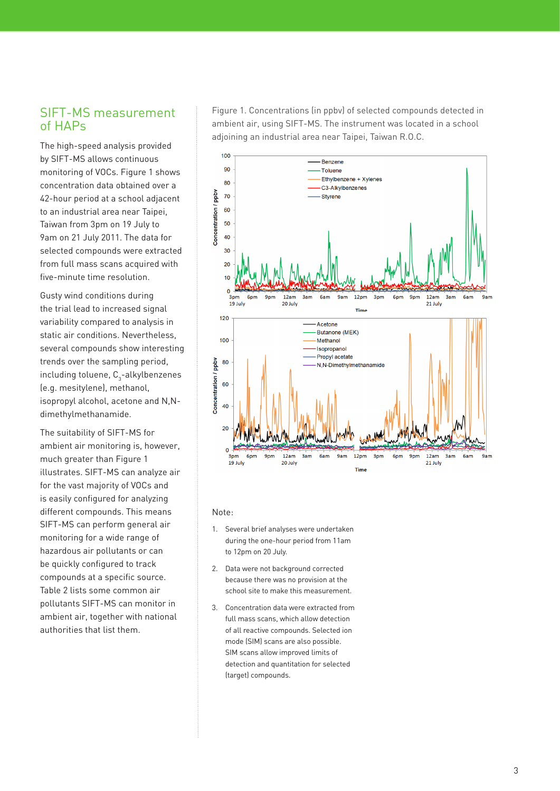## SIFT-MS measurement of HAPs

The high-speed analysis provided by SIFT-MS allows continuous monitoring of VOCs. Figure 1 shows concentration data obtained over a 42-hour period at a school adjacent to an industrial area near Taipei, Taiwan from 3pm on 19 July to 9am on 21 July 2011. The data for selected compounds were extracted from full mass scans acquired with five-minute time resolution.

Gusty wind conditions during the trial lead to increased signal variability compared to analysis in static air conditions. Nevertheless, several compounds show interesting trends over the sampling period, including toluene,  $\textsf{C}_{\scriptscriptstyle{3}}$ -alkylbenzenes (e.g. mesitylene), methanol, isopropyl alcohol, acetone and N,Ndimethylmethanamide.

The suitability of SIFT-MS for ambient air monitoring is, however, much greater than Figure 1 illustrates. SIFT-MS can analyze air for the vast majority of VOCs and is easily configured for analyzing different compounds. This means SIFT-MS can perform general air monitoring for a wide range of hazardous air pollutants or can be quickly configured to track compounds at a specific source. Table 2 lists some common air pollutants SIFT-MS can monitor in ambient air, together with national authorities that list them.

Figure 1. Concentrations (in ppbv) of selected compounds detected in ambient air, using SIFT-MS. The instrument was located in a school adjoining an industrial area near Taipei, Taiwan R.O.C.



#### Note:

- 1. Several brief analyses were undertaken during the one-hour period from 11am to 12pm on 20 July.
- 2. Data were not background corrected because there was no provision at the school site to make this measurement.
- 3. Concentration data were extracted from full mass scans, which allow detection of all reactive compounds. Selected ion mode (SIM) scans are also possible. SIM scans allow improved limits of detection and quantitation for selected (target) compounds.